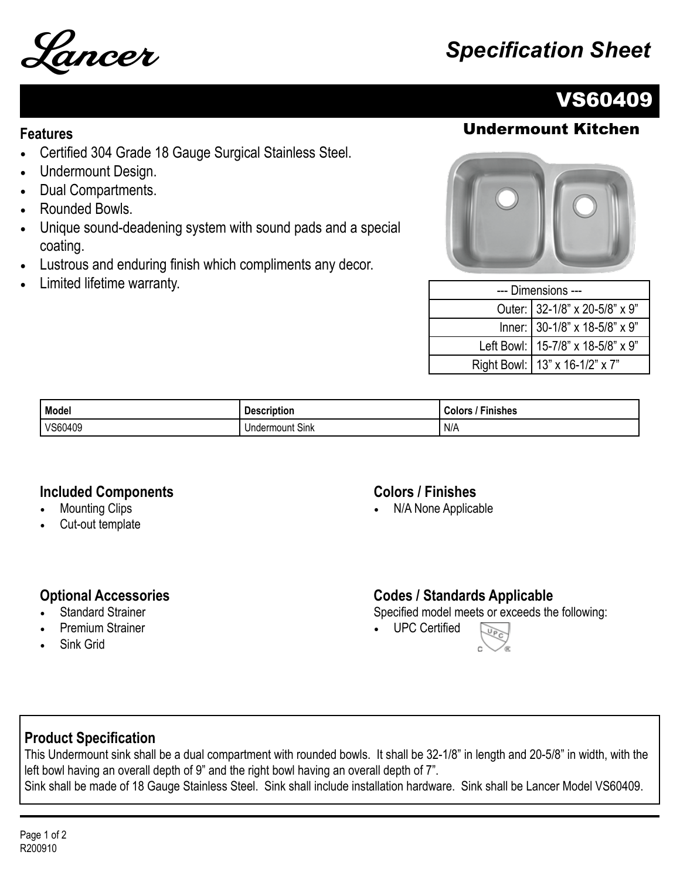

# Lancer *Specification Sheet*

# VS60409

## **Features** Undermount Kitchen

- Certified 304 Grade 18 Gauge Surgical Stainless Steel.
- Undermount Design.
- Dual Compartments.
- Rounded Bowls.
- Unique sound-deadening system with sound pads and a special coating.
- Lustrous and enduring finish which compliments any decor.
- Limited lifetime warranty.

| --- Dimensions --- |                                     |  |
|--------------------|-------------------------------------|--|
|                    | Outer: 32-1/8" x 20-5/8" x 9"       |  |
|                    | Inner: 30-1/8" x 18-5/8" x 9"       |  |
|                    | Left Bowl:   15-7/8" x 18-5/8" x 9" |  |
|                    | Right Bowl:   13" x 16-1/2" x 7"    |  |

| Model   | <b>Description</b>     | --<br><b>Finishes</b><br>Colors |
|---------|------------------------|---------------------------------|
| VS60409 | <b>Undermount Sink</b> | N/A                             |

#### **Included Components**

- **Mounting Clips**
- Cut-out template

#### **Colors / Finishes**

• N/A None Applicable

#### **Optional Accessories**

- **Standard Strainer**
- Premium Strainer
- Sink Grid

### **Codes / Standards Applicable**

Specified model meets or exceeds the following:

• UPC Certified



### **Product Specification**

This Undermount sink shall be a dual compartment with rounded bowls. It shall be 32-1/8" in length and 20-5/8" in width, with the left bowl having an overall depth of 9" and the right bowl having an overall depth of 7". Sink shall be made of 18 Gauge Stainless Steel. Sink shall include installation hardware. Sink shall be Lancer Model VS60409.